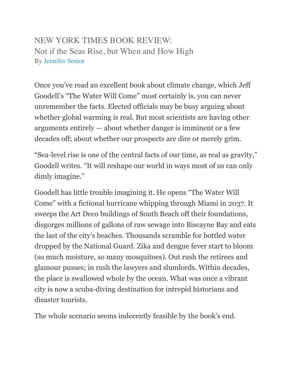## NEW YORK TIMES BOOK REVIEW: Not if the Seas Rise, but When and How High By [Jennifer Senior](http://www.nytimes.com/by/jennifer-senior)

Once you've read an excellent book about climate change, which Jeff Goodell's "The Water Will Come" most certainly is, you can never unremember the facts. Elected officials may be busy arguing about whether global warming is real. But most scientists are having other arguments entirely — about whether danger is imminent or a few decades off; about whether our prospects are dire or merely grim.

"Sea-level rise is one of the central facts of our time, as real as gravity," Goodell writes. "It will reshape our world in ways most of us can only dimly imagine."

Goodell has little trouble imagining it. He opens "The Water Will Come" with a fictional hurricane whipping through Miami in 2037. It sweeps the Art Deco buildings of South Beach off their foundations, disgorges millions of gallons of raw sewage into Biscayne Bay and eats the last of the city's beaches. Thousands scramble for bottled water dropped by the National Guard. Zika and dengue fever start to bloom (so much moisture, so many mosquitoes). Out rush the retirees and glamour pusses; in rush the lawyers and slumlords. Within decades, the place is swallowed whole by the ocean. What was once a vibrant city is now a scuba-diving destination for intrepid historians and disaster tourists.

The whole scenario seems indecently feasible by the book's end.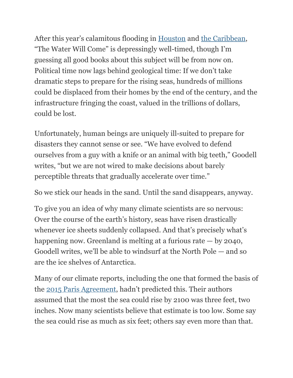After this year's calamitous flooding in [Houston](https://www.nytimes.com/2017/08/27/us/harvey-texas-storm.html) and [the Caribbean](https://www.nytimes.com/video/world/americas/100000005441310/maria-hits-dominica-and-guadeloupe.html), "The Water Will Come" is depressingly well-timed, though I'm guessing all good books about this subject will be from now on. Political time now lags behind geological time: If we don't take dramatic steps to prepare for the rising seas, hundreds of millions could be displaced from their homes by the end of the century, and the infrastructure fringing the coast, valued in the trillions of dollars, could be lost.

Unfortunately, human beings are uniquely ill-suited to prepare for disasters they cannot sense or see. "We have evolved to defend ourselves from a guy with a knife or an animal with big teeth," Goodell writes, "but we are not wired to make decisions about barely perceptible threats that gradually accelerate over time."

So we stick our heads in the sand. Until the sand disappears, anyway.

To give you an idea of why many climate scientists are so nervous: Over the course of the earth's history, seas have risen drastically whenever ice sheets suddenly collapsed. And that's precisely what's happening now. Greenland is melting at a furious rate — by 2040, Goodell writes, we'll be able to windsurf at the North Pole — and so are the ice shelves of Antarctica.

Many of our climate reports, including the one that formed the basis of the [2015 Paris Agreement,](https://www.nytimes.com/2015/12/13/world/europe/climate-change-accord-paris.html) hadn't predicted this. Their authors assumed that the most the sea could rise by 2100 was three feet, two inches. Now many scientists believe that estimate is too low. Some say the sea could rise as much as six feet; others say even more than that.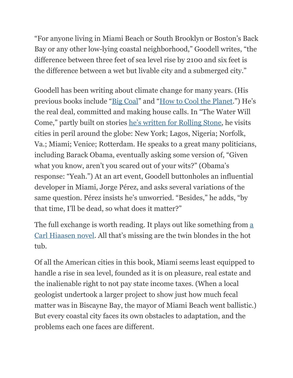"For anyone living in Miami Beach or South Brooklyn or Boston's Back Bay or any other low-lying coastal neighborhood," Goodell writes, "the difference between three feet of sea level rise by 2100 and six feet is the difference between a wet but livable city and a submerged city."

Goodell has been writing about climate change for many years. (His previous books include "[Big Coal"](http://www.nytimes.com/2006/06/21/books/21grim.html) and "[How to Cool the Planet](https://www.npr.org/templates/story/story.php?storyId=125789622).") He's the real deal, committed and making house calls. In "The Water Will Come," partly built on stories [he's written for Rolling Stone,](http://www.rollingstone.com/contributor/jeff-goodell) he visits cities in peril around the globe: New York; Lagos, Nigeria; Norfolk, Va.; Miami; Venice; Rotterdam. He speaks to a great many politicians, including Barack Obama, eventually asking some version of, "Given what you know, aren't you scared out of your wits?" (Obama's response: "Yeah.") At an art event, Goodell buttonholes an influential developer in Miami, Jorge Pérez, and asks several variations of the same question. Pérez insists he's unworried. "Besides," he adds, "by that time, I'll be dead, so what does it matter?"

The full exchange is worth reading. It plays out like something from a [Carl Hiaasen novel](http://www.nytimes.com/books/00/01/09/reviews/000109.09queent.html). All that's missing are the twin blondes in the hot tub.

Of all the American cities in this book, Miami seems least equipped to handle a rise in sea level, founded as it is on pleasure, real estate and the inalienable right to not pay state income taxes. (When a local geologist undertook a larger project to show just how much fecal matter was in Biscayne Bay, the mayor of Miami Beach went ballistic.) But every coastal city faces its own obstacles to adaptation, and the problems each one faces are different.